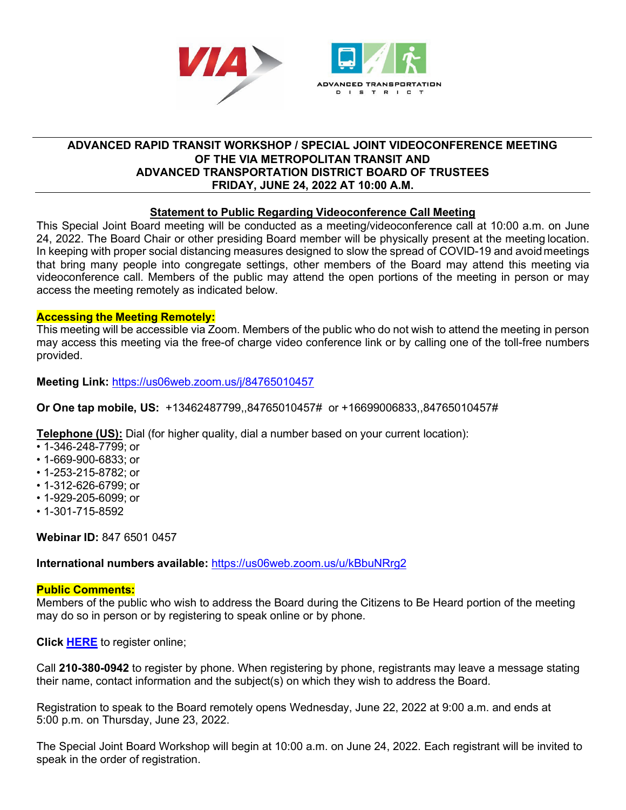

# **ADVANCED RAPID TRANSIT WORKSHOP / SPECIAL JOINT VIDEOCONFERENCE MEETING OF THE VIA METROPOLITAN TRANSIT AND ADVANCED TRANSPORTATION DISTRICT BOARD OF TRUSTEES FRIDAY, JUNE 24, 2022 AT 10:00 A.M.**

# **Statement to Public Regarding Videoconference Call Meeting**

This Special Joint Board meeting will be conducted as a meeting/videoconference call at 10:00 a.m. on June 24, 2022. The Board Chair or other presiding Board member will be physically present at the meeting location. In keeping with proper social distancing measures designed to slow the spread of COVID-19 and avoidmeetings that bring many people into congregate settings, other members of the Board may attend this meeting via videoconference call. Members of the public may attend the open portions of the meeting in person or may access the meeting remotely as indicated below.

# **Accessing the Meeting Remotely:**

This meeting will be accessible via Zoom. Members of the public who do not wish to attend the meeting in person may access this meeting via the free-of charge video conference link or by calling one of the toll-free numbers provided.

# **Meeting Link:** [https://us06web.zoom.us/j/84765010457](https://gcc02.safelinks.protection.outlook.com/?url=https%3A%2F%2Fus06web.zoom.us%2Fj%2F84765010457&data=05%7C01%7CDebra.Longoria%40viainfo.net%7Cea465ce0214c4a0d35b108da4ed26d07%7C2a3033c2ad76426c9c5a23233cde4cde%7C0%7C0%7C637908962935254373%7CUnknown%7CTWFpbGZsb3d8eyJWIjoiMC4wLjAwMDAiLCJQIjoiV2luMzIiLCJBTiI6Ik1haWwiLCJXVCI6Mn0%3D%7C3000%7C%7C%7C&sdata=4AQe57YcNoiU%2Bnrd52qbI6mm7abT9UEEjFCnTP3WtWE%3D&reserved=0)

**Or One tap mobile, US:** +13462487799,,84765010457# or +16699006833,,84765010457#

**Telephone (US):** Dial (for higher quality, dial a number based on your current location):

- 1-346-248-7799; or
- 1-669-900-6833; or
- 1-253-215-8782; or
- 1-312-626-6799; or
- 1-929-205-6099; or
- 1-301-715-8592

**Webinar ID:** 847 6501 0457

**International numbers available:** [https://us06web.zoom.us/u/kBbuNRrg2](https://gcc02.safelinks.protection.outlook.com/?url=https%3A%2F%2Fus06web.zoom.us%2Fu%2FkBbuNRrg2&data=05%7C01%7CDebra.Longoria%40viainfo.net%7Cea465ce0214c4a0d35b108da4ed26d07%7C2a3033c2ad76426c9c5a23233cde4cde%7C0%7C0%7C637908962935254373%7CUnknown%7CTWFpbGZsb3d8eyJWIjoiMC4wLjAwMDAiLCJQIjoiV2luMzIiLCJBTiI6Ik1haWwiLCJXVCI6Mn0%3D%7C3000%7C%7C%7C&sdata=jsmW5AkbXbAywiqUMa%2BUlZIYMpIP23oxQio3Fosz4zc%3D&reserved=0)

#### **Public Comments:**

Members of the public who wish to address the Board during the Citizens to Be Heard portion of the meeting may do so in person or by registering to speak online or by phone.

**Click [HERE](https://forms.office.com/g/FJbaS4MiuG)** to register online;

Call **210-380-0942** to register by phone. When registering by phone, registrants may leave a message stating their name, contact information and the subject(s) on which they wish to address the Board.

Registration to speak to the Board remotely opens Wednesday, June 22, 2022 at 9:00 a.m. and ends at 5:00 p.m. on Thursday, June 23, 2022.

The Special Joint Board Workshop will begin at 10:00 a.m. on June 24, 2022. Each registrant will be invited to speak in the order of registration.